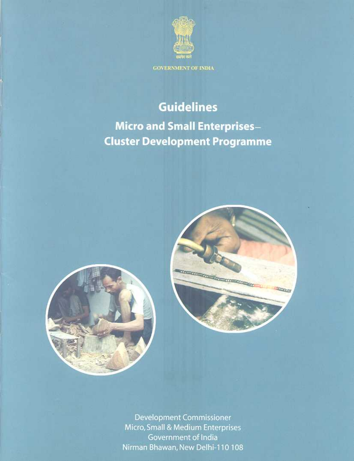

**GOVERNMENT OF INDIA** 

# **Guidelines**

**Micro and Small Enterprises-Cluster Development Programme** 





**Development Commissioner** Micro, Small & Medium Enterprises Government of India Nirman Bhawan, New Delhi-110 108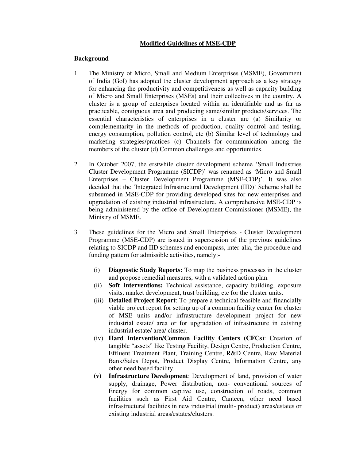# **Modified Guidelines of MSE-CDP**

#### **Background**

- 1 The Ministry of Micro, Small and Medium Enterprises (MSME), Government of India (GoI) has adopted the cluster development approach as a key strategy for enhancing the productivity and competitiveness as well as capacity building of Micro and Small Enterprises (MSEs) and their collectives in the country. A cluster is a group of enterprises located within an identifiable and as far as practicable, contiguous area and producing same/similar products/services. The essential characteristics of enterprises in a cluster are (a) Similarity or complementarity in the methods of production, quality control and testing, energy consumption, pollution control, etc (b) Similar level of technology and marketing strategies/practices (c) Channels for communication among the members of the cluster (d) Common challenges and opportunities.
- 2 In October 2007, the erstwhile cluster development scheme 'Small Industries Cluster Development Programme (SICDP)' was renamed as 'Micro and Small Enterprises – Cluster Development Programme (MSE-CDP)'. It was also decided that the 'Integrated Infrastructural Development (IID)' Scheme shall be subsumed in MSE-CDP for providing developed sites for new enterprises and upgradation of existing industrial infrastructure. A comprehensive MSE-CDP is being administered by the office of Development Commissioner (MSME), the Ministry of MSME.
- 3 These guidelines for the Micro and Small Enterprises Cluster Development Programme (MSE-CDP) are issued in supersession of the previous guidelines relating to SICDP and IID schemes and encompass, inter-alia, the procedure and funding pattern for admissible activities, namely:-
	- (i) **Diagnostic Study Reports:** To map the business processes in the cluster and propose remedial measures, with a validated action plan.
	- (ii) **Soft Interventions:** Technical assistance, capacity building, exposure visits, market development, trust building, etc for the cluster units.
	- (iii) **Detailed Project Report**: To prepare a technical feasible and financially viable project report for setting up of a common facility center for cluster of MSE units and/or infrastructure development project for new industrial estate/ area or for upgradation of infrastructure in existing industrial estate/ area/ cluster.
	- (iv) **Hard Intervention/Common Facility Centers (CFCs)**: Creation of tangible "assets" like Testing Facility, Design Centre, Production Centre, Effluent Treatment Plant, Training Centre, R&D Centre, Raw Material Bank/Sales Depot, Product Display Centre, Information Centre, any other need based facility.
	- **(v) Infrastructure Development**: Development of land, provision of water supply, drainage, Power distribution, non- conventional sources of Energy for common captive use, construction of roads, common facilities such as First Aid Centre, Canteen, other need based infrastructural facilities in new industrial (multi- product) areas/estates or existing industrial areas/estates/clusters.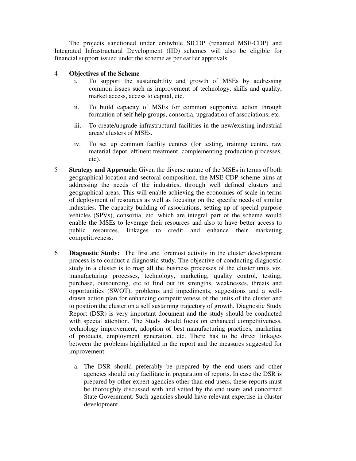The projects sanctioned under erstwhile SICDP (renamed MSE-CDP) and Integrated Infrastructural Development (IID) schemes will also be eligible for financial support issued under the scheme as per earlier approvals.

# 4 **Objectives of the Scheme**

- i. To support the sustainability and growth of MSEs by addressing common issues such as improvement of technology, skills and quality, market access, access to capital, etc.
- ii. To build capacity of MSEs for common supportive action through formation of self help groups, consortia, upgradation of associations, etc.
- iii. To create/upgrade infrastructural facilities in the new/existing industrial areas/ clusters of MSEs.
- iv. To set up common facility centres (for testing, training centre, raw material depot, effluent treatment, complementing production processes, etc).
- 5 **Strategy and Approach:** Given the diverse nature of the MSEs in terms of both geographical location and sectoral composition, the MSE-CDP scheme aims at addressing the needs of the industries, through well defined clusters and geographical areas. This will enable achieving the economies of scale in terms of deployment of resources as well as focusing on the specific needs of similar industries. The capacity building of associations, setting up of special purpose vehicles (SPVs), consortia, etc. which are integral part of the scheme would enable the MSEs to leverage their resources and also to have better access to public resources, linkages to credit and enhance their marketing competitiveness.
- 6 **Diagnostic Study:** The first and foremost activity in the cluster development process is to conduct a diagnostic study. The objective of conducting diagnostic study in a cluster is to map all the business processes of the cluster units viz. manufacturing processes, technology, marketing, quality control, testing, purchase, outsourcing, etc to find out its strengths, weaknesses, threats and opportunities (SWOT), problems and impediments, suggestions and a welldrawn action plan for enhancing competitiveness of the units of the cluster and to position the cluster on a self sustaining trajectory of growth. Diagnostic Study Report (DSR) is very important document and the study should be conducted with special attention. The Study should focus on enhanced competitiveness, technology improvement, adoption of best manufacturing practices, marketing of products, employment generation, etc. There has to be direct linkages between the problems highlighted in the report and the measures suggested for improvement.
	- a. The DSR should preferably be prepared by the end users and other agencies should only facilitate in preparation of reports. In case the DSR is prepared by other expert agencies other than end users, these reports must be thoroughly discussed with and vetted by the end users and concerned State Government. Such agencies should have relevant expertise in cluster development.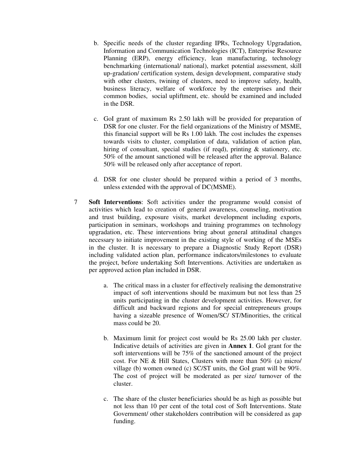- b. Specific needs of the cluster regarding IPRs, Technology Upgradation, Information and Communication Technologies (ICT), Enterprise Resource Planning (ERP), energy efficiency, lean manufacturing, technology benchmarking (international/ national), market potential assessment, skill up-gradation/ certification system, design development, comparative study with other clusters, twining of clusters, need to improve safety, health, business literacy, welfare of workforce by the enterprises and their common bodies, social upliftment, etc. should be examined and included in the DSR.
- c. GoI grant of maximum Rs 2.50 lakh will be provided for preparation of DSR for one cluster. For the field organizations of the Ministry of MSME, this financial support will be Rs 1.00 lakh. The cost includes the expenses towards visits to cluster, compilation of data, validation of action plan, hiring of consultant, special studies (if reqd), printing & stationery, etc. 50% of the amount sanctioned will be released after the approval. Balance 50% will be released only after acceptance of report.
- d. DSR for one cluster should be prepared within a period of 3 months, unless extended with the approval of DC(MSME).
- 7 **Soft Interventions**: Soft activities under the programme would consist of activities which lead to creation of general awareness, counseling, motivation and trust building, exposure visits, market development including exports, participation in seminars, workshops and training programmes on technology upgradation, etc. These interventions bring about general attitudinal changes necessary to initiate improvement in the existing style of working of the MSEs in the cluster. It is necessary to prepare a Diagnostic Study Report (DSR) including validated action plan, performance indicators/milestones to evaluate the project, before undertaking Soft Interventions. Activities are undertaken as per approved action plan included in DSR.
	- a. The critical mass in a cluster for effectively realising the demonstrative impact of soft interventions should be maximum but not less than 25 units participating in the cluster development activities. However, for difficult and backward regions and for special entrepreneurs groups having a sizeable presence of Women/SC/ ST/Minorities, the critical mass could be 20.
	- b. Maximum limit for project cost would be Rs 25.00 lakh per cluster. Indicative details of activities are given in **Annex 1**. GoI grant for the soft interventions will be 75% of the sanctioned amount of the project cost. For NE & Hill States, Clusters with more than 50% (a) micro/ village (b) women owned (c) SC/ST units, the GoI grant will be 90%. The cost of project will be moderated as per size/ turnover of the cluster.
	- c. The share of the cluster beneficiaries should be as high as possible but not less than 10 per cent of the total cost of Soft Interventions. State Government/ other stakeholders contribution will be considered as gap funding.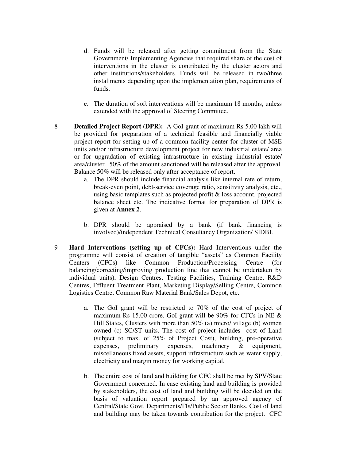- d. Funds will be released after getting commitment from the State Government/ Implementing Agencies that required share of the cost of interventions in the cluster is contributed by the cluster actors and other institutions/stakeholders. Funds will be released in two/three installments depending upon the implementation plan, requirements of funds.
- e. The duration of soft interventions will be maximum 18 months, unless extended with the approval of Steering Committee.
- 8 **Detailed Project Report (DPR):** A GoI grant of maximum Rs 5.00 lakh will be provided for preparation of a technical feasible and financially viable project report for setting up of a common facility center for cluster of MSE units and/or infrastructure development project for new industrial estate/ area or for upgradation of existing infrastructure in existing industrial estate/ area/cluster. 50% of the amount sanctioned will be released after the approval. Balance 50% will be released only after acceptance of report.
	- a. The DPR should include financial analysis like internal rate of return, break-even point, debt-service coverage ratio, sensitivity analysis, etc., using basic templates such as projected profit & loss account, projected balance sheet etc. The indicative format for preparation of DPR is given at **Annex 2**.
	- b. DPR should be appraised by a bank (if bank financing is involved)/independent Technical Consultancy Organization/ SIDBI.
- 9 **Hard Interventions (setting up of CFCs):** Hard Interventions under the programme will consist of creation of tangible "assets" as Common Facility Centers (CFCs) like Common Production/Processing Centre (for balancing/correcting/improving production line that cannot be undertaken by individual units), Design Centres, Testing Facilities, Training Centre, R&D Centres, Effluent Treatment Plant, Marketing Display/Selling Centre, Common Logistics Centre, Common Raw Material Bank/Sales Depot, etc.
	- a. The GoI grant will be restricted to 70% of the cost of project of maximum Rs 15.00 crore. GoI grant will be 90% for CFCs in NE & Hill States, Clusters with more than 50% (a) micro/ village (b) women owned (c) SC/ST units. The cost of project includes cost of Land (subject to max. of 25% of Project Cost), building, pre-operative expenses, preliminary expenses, machinery & equipment, miscellaneous fixed assets, support infrastructure such as water supply, electricity and margin money for working capital.
	- b. The entire cost of land and building for CFC shall be met by SPV/State Government concerned. In case existing land and building is provided by stakeholders, the cost of land and building will be decided on the basis of valuation report prepared by an approved agency of Central/State Govt. Departments/FIs/Public Sector Banks. Cost of land and building may be taken towards contribution for the project. CFC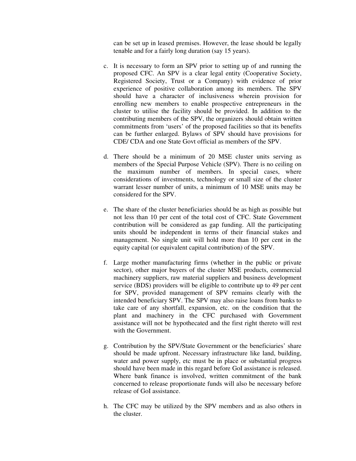can be set up in leased premises. However, the lease should be legally tenable and for a fairly long duration (say 15 years).

- c. It is necessary to form an SPV prior to setting up of and running the proposed CFC. An SPV is a clear legal entity (Cooperative Society, Registered Society, Trust or a Company) with evidence of prior experience of positive collaboration among its members. The SPV should have a character of inclusiveness wherein provision for enrolling new members to enable prospective entrepreneurs in the cluster to utilise the facility should be provided. In addition to the contributing members of the SPV, the organizers should obtain written commitments from 'users' of the proposed facilities so that its benefits can be further enlarged. Bylaws of SPV should have provisions for CDE/ CDA and one State Govt official as members of the SPV.
- d. There should be a minimum of 20 MSE cluster units serving as members of the Special Purpose Vehicle (SPV). There is no ceiling on the maximum number of members. In special cases, where considerations of investments, technology or small size of the cluster warrant lesser number of units, a minimum of 10 MSE units may be considered for the SPV.
- e. The share of the cluster beneficiaries should be as high as possible but not less than 10 per cent of the total cost of CFC. State Government contribution will be considered as gap funding. All the participating units should be independent in terms of their financial stakes and management. No single unit will hold more than 10 per cent in the equity capital (or equivalent capital contribution) of the SPV.
- f. Large mother manufacturing firms (whether in the public or private sector), other major buyers of the cluster MSE products, commercial machinery suppliers, raw material suppliers and business development service (BDS) providers will be eligible to contribute up to 49 per cent for SPV, provided management of SPV remains clearly with the intended beneficiary SPV. The SPV may also raise loans from banks to take care of any shortfall, expansion, etc. on the condition that the plant and machinery in the CFC purchased with Government assistance will not be hypothecated and the first right thereto will rest with the Government.
- g. Contribution by the SPV/State Government or the beneficiaries' share should be made upfront. Necessary infrastructure like land, building, water and power supply, etc must be in place or substantial progress should have been made in this regard before GoI assistance is released. Where bank finance is involved, written commitment of the bank concerned to release proportionate funds will also be necessary before release of GoI assistance.
- h. The CFC may be utilized by the SPV members and as also others in the cluster.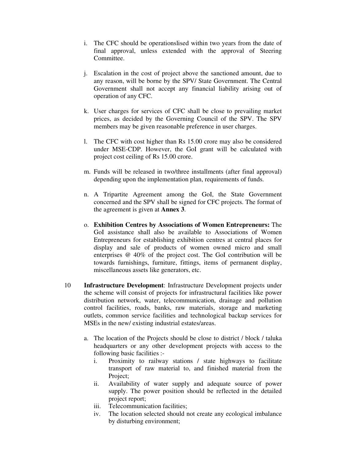- i. The CFC should be operationslised within two years from the date of final approval, unless extended with the approval of Steering Committee.
- j. Escalation in the cost of project above the sanctioned amount, due to any reason, will be borne by the SPV/ State Government. The Central Government shall not accept any financial liability arising out of operation of any CFC.
- k. User charges for services of CFC shall be close to prevailing market prices, as decided by the Governing Council of the SPV. The SPV members may be given reasonable preference in user charges.
- l. The CFC with cost higher than Rs 15.00 crore may also be considered under MSE-CDP. However, the GoI grant will be calculated with project cost ceiling of Rs 15.00 crore.
- m. Funds will be released in two/three installments (after final approval) depending upon the implementation plan, requirements of funds.
- n. A Tripartite Agreement among the GoI, the State Government concerned and the SPV shall be signed for CFC projects. The format of the agreement is given at **Annex 3**.
- o. **Exhibition Centres by Associations of Women Entrepreneurs:** The GoI assistance shall also be available to Associations of Women Entrepreneurs for establishing exhibition centres at central places for display and sale of products of women owned micro and small enterprises @ 40% of the project cost. The GoI contribution will be towards furnishings, furniture, fittings, items of permanent display, miscellaneous assets like generators, etc.
- 10 **Infrastructure Development**: Infrastructure Development projects under the scheme will consist of projects for infrastructural facilities like power distribution network, water, telecommunication, drainage and pollution control facilities, roads, banks, raw materials, storage and marketing outlets, common service facilities and technological backup services for MSEs in the new/ existing industrial estates/areas.
	- a. The location of the Projects should be close to district / block / taluka headquarters or any other development projects with access to the following basic facilities :
		- i. Proximity to railway stations / state highways to facilitate transport of raw material to, and finished material from the Project:
		- ii. Availability of water supply and adequate source of power supply. The power position should be reflected in the detailed project report;
		- iii. Telecommunication facilities;
		- iv. The location selected should not create any ecological imbalance by disturbing environment;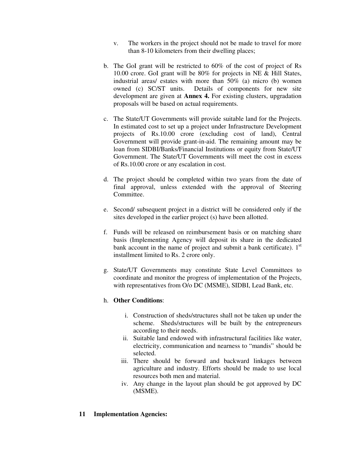- v. The workers in the project should not be made to travel for more than 8-10 kilometers from their dwelling places;
- b. The GoI grant will be restricted to 60% of the cost of project of Rs 10.00 crore. GoI grant will be 80% for projects in NE & Hill States, industrial areas/ estates with more than 50% (a) micro (b) women owned (c) SC/ST units. Details of components for new site development are given at **Annex 4.** For existing clusters, upgradation proposals will be based on actual requirements.
- c. The State/UT Governments will provide suitable land for the Projects. In estimated cost to set up a project under Infrastructure Development projects of Rs.10.00 crore (excluding cost of land), Central Government will provide grant-in-aid. The remaining amount may be loan from SIDBI/Banks/Financial Institutions or equity from State/UT Government. The State/UT Governments will meet the cost in excess of Rs.10.00 crore or any escalation in cost.
- d. The project should be completed within two years from the date of final approval, unless extended with the approval of Steering Committee.
- e. Second/ subsequent project in a district will be considered only if the sites developed in the earlier project (s) have been allotted.
- f. Funds will be released on reimbursement basis or on matching share basis (Implementing Agency will deposit its share in the dedicated bank account in the name of project and submit a bank certificate).  $1<sup>st</sup>$ installment limited to Rs. 2 crore only.
- g. State/UT Governments may constitute State Level Committees to coordinate and monitor the progress of implementation of the Projects, with representatives from O/o DC (MSME), SIDBI, Lead Bank, etc.

# h. **Other Conditions**:

- i. Construction of sheds/structures shall not be taken up under the scheme. Sheds/structures will be built by the entrepreneurs according to their needs.
- ii. Suitable land endowed with infrastructural facilities like water, electricity, communication and nearness to "mandis" should be selected.
- iii. There should be forward and backward linkages between agriculture and industry. Efforts should be made to use local resources both men and material.
- iv. Any change in the layout plan should be got approved by DC (MSME).

# **11 Implementation Agencies:**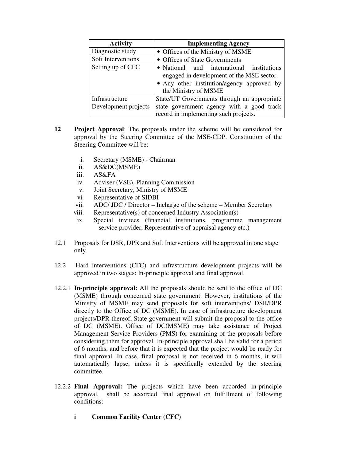| <b>Activity</b>      | <b>Implementing Agency</b>                                                                                                                                   |
|----------------------|--------------------------------------------------------------------------------------------------------------------------------------------------------------|
| Diagnostic study     | • Offices of the Ministry of MSME                                                                                                                            |
| Soft Interventions   | • Offices of State Governments                                                                                                                               |
| Setting up of CFC    | • National and international institutions<br>engaged in development of the MSE sector.<br>• Any other institution/agency approved by<br>the Ministry of MSME |
| Infrastructure       | State/UT Governments through an appropriate                                                                                                                  |
| Development projects | state government agency with a good track                                                                                                                    |
|                      | record in implementing such projects.                                                                                                                        |

- **12 Project Approval**: The proposals under the scheme will be considered for approval by the Steering Committee of the MSE-CDP. Constitution of the Steering Committee will be:
	- i. Secretary (MSME) Chairman
	- ii. AS&DC(MSME)
	- iii. AS&FA
	- iv. Adviser (VSE), Planning Commission
	- v. Joint Secretary, Ministry of MSME
	- vi. Representative of SIDBI
	- vii. ADC/ JDC / Director Incharge of the scheme Member Secretary
	- viii. Representative(s) of concerned Industry Association(s)
	- ix. Special invitees (financial institutions, programme management service provider, Representative of appraisal agency etc.)
- 12.1 Proposals for DSR, DPR and Soft Interventions will be approved in one stage only.
- 12.2 Hard interventions (CFC) and infrastructure development projects will be approved in two stages: In-principle approval and final approval.
- 12.2.1 **In-principle approval:** All the proposals should be sent to the office of DC (MSME) through concerned state government. However, institutions of the Ministry of MSME may send proposals for soft interventions/ DSR/DPR directly to the Office of DC (MSME). In case of infrastructure development projects/DPR thereof, State government will submit the proposal to the office of DC (MSME). Office of DC(MSME) may take assistance of Project Management Service Providers (PMS) for examining of the proposals before considering them for approval. In-principle approval shall be valid for a period of 6 months, and before that it is expected that the project would be ready for final approval. In case, final proposal is not received in 6 months, it will automatically lapse, unless it is specifically extended by the steering committee.
- 12.2.2 **Final Approval:** The projects which have been accorded in-principle approval, shall be accorded final approval on fulfillment of following conditions:
	- **i Common Facility Center (CFC)**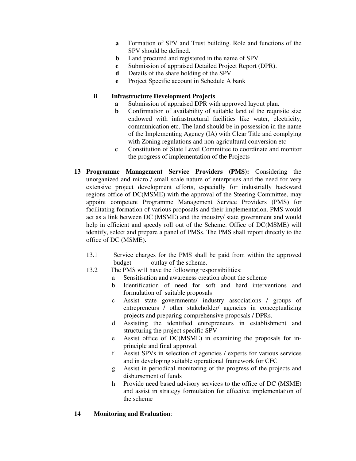- **a** Formation of SPV and Trust building. Role and functions of the SPV should be defined.
- **b** Land procured and registered in the name of SPV
- **c** Submission of appraised Detailed Project Report (DPR).
- **d** Details of the share holding of the SPV
- **e** Project Specific account in Schedule A bank

# **ii Infrastructure Development Projects**

- **a** Submission of appraised DPR with approved layout plan.
- **b** Confirmation of availability of suitable land of the requisite size endowed with infrastructural facilities like water, electricity, communication etc. The land should be in possession in the name of the Implementing Agency (IA) with Clear Title and complying with Zoning regulations and non-agricultural conversion etc
- **c** Constitution of State Level Committee to coordinate and monitor the progress of implementation of the Projects
- **13 Programme Management Service Providers (PMS):** Considering the unorganized and micro / small scale nature of enterprises and the need for very extensive project development efforts, especially for industrially backward regions office of DC(MSME) with the approval of the Steering Committee, may appoint competent Programme Management Service Providers (PMS) for facilitating formation of various proposals and their implementation. PMS would act as a link between DC (MSME) and the industry/ state government and would help in efficient and speedy roll out of the Scheme. Office of DC(MSME) will identify, select and prepare a panel of PMSs. The PMS shall report directly to the office of DC (MSME)**.** 
	- 13.1 Service charges for the PMS shall be paid from within the approved budget outlay of the scheme.
	- 13.2 The PMS will have the following responsibilities:
		- a Sensitisation and awareness creation about the scheme
		- b Identification of need for soft and hard interventions and formulation of suitable proposals
		- c Assist state governments/ industry associations / groups of entrepreneurs / other stakeholder/ agencies in conceptualizing projects and preparing comprehensive proposals / DPRs.
		- d Assisting the identified entrepreneurs in establishment and structuring the project specific SPV
		- e Assist office of DC(MSME) in examining the proposals for inprinciple and final approval.
		- f Assist SPVs in selection of agencies / experts for various services and in developing suitable operational framework for CFC
		- g Assist in periodical monitoring of the progress of the projects and disbursement of funds
		- h Provide need based advisory services to the office of DC (MSME) and assist in strategy formulation for effective implementation of the scheme

# **14 Monitoring and Evaluation**: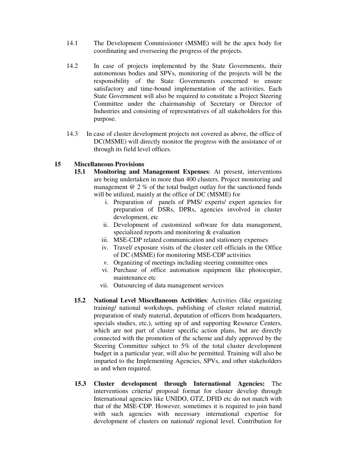- 14.1 The Development Commissioner (MSME) will be the apex body for coordinating and overseeing the progress of the projects.
- 14.2 In case of projects implemented by the State Governments, their autonomous bodies and SPVs, monitoring of the projects will be the responsibility of the State Governments concerned to ensure satisfactory and time-bound implementation of the activities. Each State Government will also be required to constitute a Project Steering Committee under the chairmanship of Secretary or Director of Industries and consisting of representatives of all stakeholders for this purpose.
- 14.3 In case of cluster development projects not covered as above, the office of DC(MSME) will directly monitor the progress with the assistance of or through its field level offices.

# **15 Miscellaneous Provisions**

- **15.1 Monitoring and Management Expenses**: At present, interventions are being undertaken in more than 400 clusters. Project monitoring and management @ 2 % of the total budget outlay for the sanctioned funds will be utilized, mainly at the office of DC (MSME) for
	- i. Preparation of panels of PMS/ experts/ expert agencies for preparation of DSRs, DPRs, agencies involved in cluster development, etc
	- ii. Development of customized software for data management, specialized reports and monitoring & evaluation
	- iii. MSE-CDP related communication and stationery expenses
	- iv. Travel/ exposure visits of the cluster cell officials in the Office of DC (MSME) for monitoring MSE-CDP activities
	- v. Organizing of meetings including steering committee ones
	- vi. Purchase of office automation equipment like photocopier, maintenance etc
	- vii. Outsourcing of data management services
- **15.2 National Level Miscellaneous Activities**: Activities (like organizing training/ national workshops, publishing of cluster related material, preparation of study material, deputation of officers from headquarters, specials studies, etc.), setting up of and supporting Resource Centers, which are not part of cluster specific action plans, but are directly connected with the promotion of the scheme and duly approved by the Steering Committee subject to 5% of the total cluster development budget in a particular year, will also be permitted. Training will also be imparted to the Implementing Agencies, SPVs, and other stakeholders as and when required.
- **15.3 Cluster development through International Agencies:** The interventions criteria/ proposal format for cluster develop through International agencies like UNIDO, GTZ, DFID etc do not match with that of the MSE-CDP. However, sometimes it is required to join hand with such agencies with necessary international expertise for development of clusters on national/ regional level. Contribution for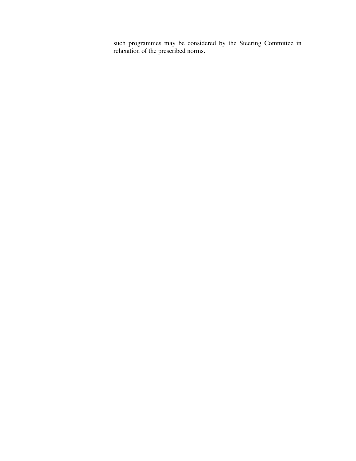such programmes may be considered by the Steering Committee in relaxation of the prescribed norms.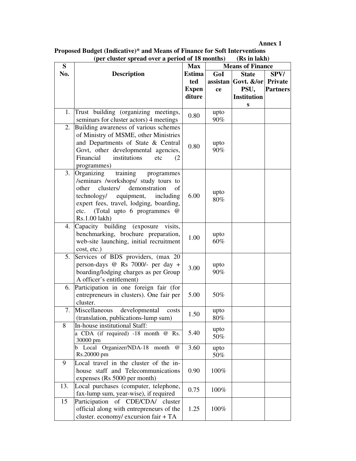**Annex 1** 

| Proposed Budget (Indicative)* and Means of Finance for Soft Interventions |              |
|---------------------------------------------------------------------------|--------------|
| (per cluster spread over a period of 18 months)                           | (Rs in lakh) |

| S   | (per cluster spread over a period of 18 months)                                                                                                                                                                                                                       | <b>Max</b>    | (RS IN RIKN)<br><b>Means of Finance</b> |                                 |                 |  |
|-----|-----------------------------------------------------------------------------------------------------------------------------------------------------------------------------------------------------------------------------------------------------------------------|---------------|-----------------------------------------|---------------------------------|-----------------|--|
| No. | <b>Description</b>                                                                                                                                                                                                                                                    | <b>Estima</b> | GoI                                     | <b>State</b>                    | SPV/            |  |
|     |                                                                                                                                                                                                                                                                       | ted           |                                         | assistan Govt. $\&$ /or Private |                 |  |
|     |                                                                                                                                                                                                                                                                       | <b>Expen</b>  | ce                                      | PSU,                            | <b>Partners</b> |  |
|     |                                                                                                                                                                                                                                                                       | diture        |                                         | <b>Institution</b>              |                 |  |
|     |                                                                                                                                                                                                                                                                       |               |                                         | S                               |                 |  |
| 1.  | Trust building (organizing meetings,                                                                                                                                                                                                                                  |               | upto                                    |                                 |                 |  |
|     | seminars for cluster actors) 4 meetings                                                                                                                                                                                                                               | 0.80          | 90%                                     |                                 |                 |  |
| 2.  | Building awareness of various schemes<br>of Ministry of MSME, other Ministries<br>and Departments of State & Central<br>Govt, other developmental agencies,<br>Financial<br>institutions<br>etc<br>(2<br>programmes)                                                  | 0.80          | upto<br>90%                             |                                 |                 |  |
| 3.  | training<br>Organizing<br>programmes<br>/seminars /workshops/ study tours to<br>clusters/<br>demonstration<br>other<br>of<br>technology/<br>equipment,<br>including<br>expert fees, travel, lodging, boarding,<br>(Total upto 6 programmes @<br>etc.<br>Rs.1.00 lakh) | 6.00          | upto<br>80%                             |                                 |                 |  |
| 4.  | Capacity building (exposure<br>visits,<br>benchmarking, brochure preparation,<br>web-site launching, initial recruitment<br>cost, etc.)                                                                                                                               | 1.00          | upto<br>60%                             |                                 |                 |  |
| 5.  | Services of BDS providers, (max 20<br>person-days @ Rs 7000/- per day +<br>boarding/lodging charges as per Group<br>A officer's entitlement)                                                                                                                          | 3.00          | upto<br>90%                             |                                 |                 |  |
| 6.  | Participation in one foreign fair (for<br>entrepreneurs in clusters). One fair per<br>cluster.                                                                                                                                                                        | 5.00          | 50%                                     |                                 |                 |  |
| 7.  | Miscellaneous<br>developmental<br>costs<br>(translation, publications-lump sum)                                                                                                                                                                                       | 1.50          | upto<br>80%                             |                                 |                 |  |
| 8   | In-house institutional Staff:<br>a CDA (if required) -18 month @ Rs.<br>30000 pm                                                                                                                                                                                      | 5.40          | upto<br>50%                             |                                 |                 |  |
|     | b Local Organizer/NDA-18 month<br>$^{\omega}$<br>Rs.20000 pm                                                                                                                                                                                                          | 3.60          | upto<br>50%                             |                                 |                 |  |
| 9   | Local travel in the cluster of the in-<br>house staff and Telecommunications<br>expenses (Rs 5000 per month)                                                                                                                                                          | 0.90          | 100%                                    |                                 |                 |  |
| 13. | Local purchases (computer, telephone,<br>fax-lump sum, year-wise), if required                                                                                                                                                                                        | 0.75          | 100%                                    |                                 |                 |  |
| 15  | Participation of CDE/CDA/ cluster<br>official along with entrepreneurs of the<br>cluster. economy/ excursion fair + TA                                                                                                                                                | 1.25          | 100%                                    |                                 |                 |  |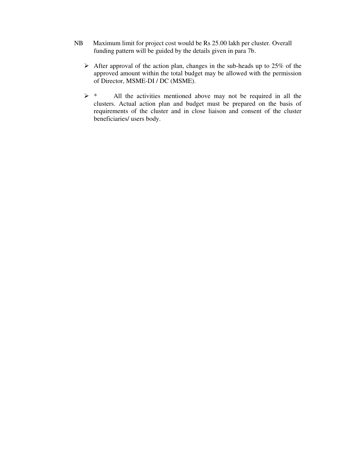- NB Maximum limit for project cost would be Rs 25.00 lakh per cluster. Overall funding pattern will be guided by the details given in para 7b.
	- $\triangleright$  After approval of the action plan, changes in the sub-heads up to 25% of the approved amount within the total budget may be allowed with the permission of Director, MSME-DI / DC (MSME).
	- $\triangleright$  \* All the activities mentioned above may not be required in all the clusters. Actual action plan and budget must be prepared on the basis of requirements of the cluster and in close liaison and consent of the cluster beneficiaries/ users body.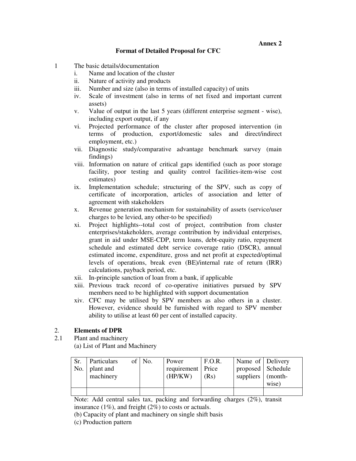# **Format of Detailed Proposal for CFC**

- 1 The basic details/documentation
	- i. Name and location of the cluster
	- ii. Nature of activity and products
	- iii. Number and size (also in terms of installed capacity) of units
	- iv. Scale of investment (also in terms of net fixed and important current assets)
	- v. Value of output in the last 5 years (different enterprise segment wise), including export output, if any
	- vi. Projected performance of the cluster after proposed intervention (in terms of production, export/domestic sales and direct/indirect employment, etc.)
	- vii. Diagnostic study/comparative advantage benchmark survey (main findings)
	- viii. Information on nature of critical gaps identified (such as poor storage facility, poor testing and quality control facilities-item-wise cost estimates)
	- ix. Implementation schedule; structuring of the SPV, such as copy of certificate of incorporation, articles of association and letter of agreement with stakeholders
	- x. Revenue generation mechanism for sustainability of assets (service/user charges to be levied, any other-to be specified)
	- xi. Project highlights--total cost of project, contribution from cluster enterprises/stakeholders, average contribution by individual enterprises, grant in aid under MSE-CDP, term loans, debt-equity ratio, repayment schedule and estimated debt service coverage ratio (DSCR), annual estimated income, expenditure, gross and net profit at expected/optimal levels of operations, break even (BE)/internal rate of return (IRR) calculations, payback period, etc.
	- xii. In-principle sanction of loan from a bank, if applicable
	- xiii. Previous track record of co-operative initiatives pursued by SPV members need to be highlighted with support documentation
	- xiv. CFC may be utilised by SPV members as also others in a cluster. However, evidence should be furnished with regard to SPV member ability to utilise at least 60 per cent of installed capacity.

# 2. **Elements of DPR**

- 2.1 Plant and machinery
	- (a) List of Plant and Machinery

| Sr.<br>No. | Particulars<br>  plant and<br>machinery | of   No. | Power<br>requirement   Price<br>(HP/KW) | F.O.R.<br>(Rs) | Name of Delivery<br>proposed   Schedule<br>suppliers (month- | wise) |
|------------|-----------------------------------------|----------|-----------------------------------------|----------------|--------------------------------------------------------------|-------|
|            |                                         |          |                                         |                |                                                              |       |

Note: Add central sales tax, packing and forwarding charges (2%), transit insurance  $(1\%)$ , and freight  $(2\%)$  to costs or actuals.

(b) Capacity of plant and machinery on single shift basis

(c) Production pattern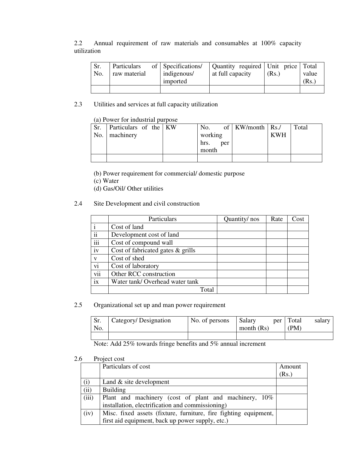2.2 Annual requirement of raw materials and consumables at 100% capacity utilization

| No. | Particulars<br>raw material | of Specifications/<br>indigenous/ | Quantity required   Unit price   Total<br>at full capacity | (Rs.) | value |
|-----|-----------------------------|-----------------------------------|------------------------------------------------------------|-------|-------|
|     |                             | imported                          |                                                            |       | Rs.   |
|     |                             |                                   |                                                            |       |       |

2.3 Utilities and services at full capacity utilization

# (a) Power for industrial purpose

| Sr. | Particulars of the KW |  | No.     |     | of   KW/month   $\text{Rs.}/$ |            | Total |
|-----|-----------------------|--|---------|-----|-------------------------------|------------|-------|
|     | No.   machinery       |  | working |     |                               | <b>KWH</b> |       |
|     |                       |  | hrs.    | per |                               |            |       |
|     |                       |  | month   |     |                               |            |       |
|     |                       |  |         |     |                               |            |       |

(b) Power requirement for commercial/ domestic purpose

(c) Water

(d) Gas/Oil/ Other utilities

#### 2.4 Site Development and civil construction

|     | Particulars                          | Quantity/nos | Rate | Cost |
|-----|--------------------------------------|--------------|------|------|
|     | Cost of land                         |              |      |      |
| ii  | Development cost of land             |              |      |      |
| iii | Cost of compound wall                |              |      |      |
| iv  | Cost of fabricated gates $\&$ grills |              |      |      |
| V   | Cost of shed                         |              |      |      |
| vi  | Cost of laboratory                   |              |      |      |
| vii | Other RCC construction               |              |      |      |
| ix  | Water tank/Overhead water tank       |              |      |      |
|     | Total                                |              |      |      |

# 2.5 Organizational set up and man power requirement

| No. | Category/ Designation | No. of persons | Salary<br>month $(Rs)$ | per | Total<br>(PM) | salary |
|-----|-----------------------|----------------|------------------------|-----|---------------|--------|
|     |                       |                |                        |     |               |        |

Note: Add 25% towards fringe benefits and 5% annual increment

#### 2.6 Project cost

|       | Particulars of cost                                              | Amount |
|-------|------------------------------------------------------------------|--------|
|       |                                                                  | (Rs.)  |
| (i)   | Land $&$ site development                                        |        |
| (ii)  | <b>Building</b>                                                  |        |
| (iii) | Plant and machinery (cost of plant and machinery, 10%            |        |
|       | installation, electrification and commissioning)                 |        |
| (iv)  | Misc. fixed assets (fixture, furniture, fire fighting equipment, |        |
|       | first aid equipment, back up power supply, etc.)                 |        |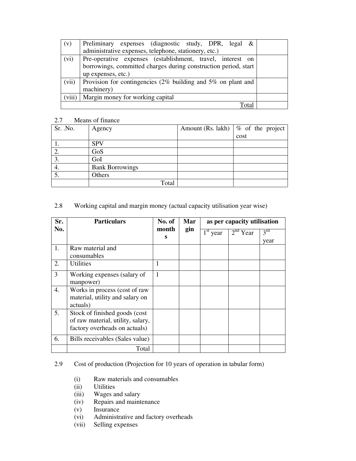| (v)    | Preliminary expenses (diagnostic study, DPR, legal &            |  |
|--------|-----------------------------------------------------------------|--|
|        | administrative expenses, telephone, stationery, etc.)           |  |
| (vi)   | Pre-operative expenses (establishment, travel, interest on      |  |
|        | borrowings, committed charges during construction period, start |  |
|        | up expenses, etc.)                                              |  |
| (vii)  | Provision for contingencies (2% building and 5% on plant and    |  |
|        | machinery)                                                      |  |
| (viii) | Margin money for working capital                                |  |
|        | $\Gamma$ ota                                                    |  |

# 2.7 Means of finance

| Sr. .No. | Agency                 | Amount (Rs. lakh) $\phi$ of the project |
|----------|------------------------|-----------------------------------------|
|          |                        | cost                                    |
|          | <b>SPV</b>             |                                         |
| 2.       | GoS                    |                                         |
| 3.       | GoI                    |                                         |
| 4.       | <b>Bank Borrowings</b> |                                         |
|          | Others                 |                                         |
|          | Total                  |                                         |

# 2.8 Working capital and margin money (actual capacity utilisation year wise)

| Sr. | <b>Particulars</b>                                                                                  | No. of<br>Mar |     | as per capacity utilisation |            |                         |  |
|-----|-----------------------------------------------------------------------------------------------------|---------------|-----|-----------------------------|------------|-------------------------|--|
| No. |                                                                                                     | month<br>S    | gin | $1st$ year                  | $2nd$ Year | $3^{\text{rd}}$<br>year |  |
| 1.  | Raw material and<br>consumables                                                                     |               |     |                             |            |                         |  |
| 2.  | Utilities                                                                                           | 1             |     |                             |            |                         |  |
| 3   | Working expenses (salary of<br>manpower)                                                            | $\mathbf{1}$  |     |                             |            |                         |  |
| 4.  | Works in process (cost of raw<br>material, utility and salary on<br>actuals)                        |               |     |                             |            |                         |  |
| 5.  | Stock of finished goods (cost<br>of raw material, utility, salary,<br>factory overheads on actuals) |               |     |                             |            |                         |  |
| 6.  | Bills receivables (Sales value)                                                                     |               |     |                             |            |                         |  |
|     | Total                                                                                               |               |     |                             |            |                         |  |

# 2.9 Cost of production (Projection for 10 years of operation in tabular form)

- (i) Raw materials and consumables
- (ii) Utilities
- (iii) Wages and salary
- (iv) Repairs and maintenance
- (v) Insurance
- (vi) Administrative and factory overheads
- (vii) Selling expenses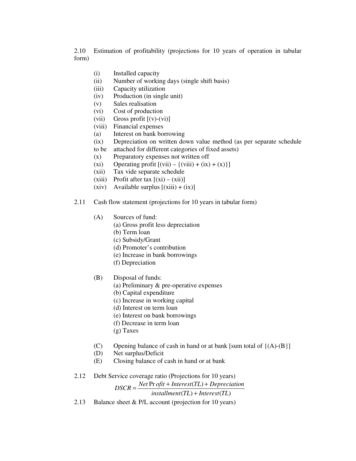2.10 Estimation of profitability (projections for 10 years of operation in tabular form)

- (i) Installed capacity
- (ii) Number of working days (single shift basis)
- (iii) Capacity utilization
- (iv) Production (in single unit)
- (v) Sales realisation
- (vi) Cost of production
- (vii) Gross profit  $[(v)-(vi)]$
- (viii) Financial expenses
- (a) Interest on bank borrowing
- (ix) Depreciation on written down value method (as per separate schedule to be attached for different categories of fixed assets)
- (x) Preparatory expenses not written off
- (xi) Operating profit  $[(\overline{vii}) \{(viii) + (ix) + (x)\}]$
- (xii) Tax vide separate schedule
- (xiii) Profit after tax  $[(xi) (xii)]$
- $(xiv)$  Available surplus  $[(xiii) + (ix)]$
- 2.11 Cash flow statement (projections for 10 years in tabular form)
	- (A) Sources of fund:
		- (a) Gross profit less depreciation
		- (b) Term loan
		- (c) Subsidy/Grant
		- (d) Promoter's contribution
		- (e) Increase in bank borrowings
		- (f) Depreciation
	- (B) Disposal of funds:
		- (a) Preliminary & pre-operative expenses
		- (b) Capital expenditure
		- (c) Increase in working capital
		- (d) Interest on term loan
		- (e) Interest on bank borrowings
		- (f) Decrease in term loan
		- (g) Taxes
	- (C) Opening balance of cash in hand or at bank [sum total of  $\{(A)$ - $(B)\}$ ]
	- (D) Net surplus/Deficit
	- (E) Closing balance of cash in hand or at bank
- 2.12 Debt Service coverage ratio (Projections for 10 years)

 $DSCR = \frac{Net \text{ Pr } of it + Interest(TL) + Depreciation}{\frac{N}{2}}$ 

 $int (TL) + Interest (TL)$ 

2.13 Balance sheet & P/L account (projection for 10 years)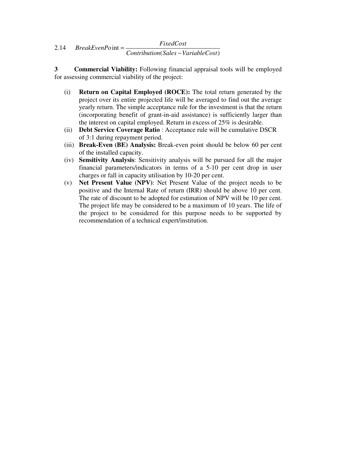#### 2.14 (Sales – VariableCost) int *Contribution Sales VariableCost FixedCost BreakEvenPo* − =

**3 Commercial Viability:** Following financial appraisal tools will be employed for assessing commercial viability of the project:

- (i) **Return on Capital Employed (ROCE):** The total return generated by the project over its entire projected life will be averaged to find out the average yearly return. The simple acceptance rule for the investment is that the return (incorporating benefit of grant-in-aid assistance) is sufficiently larger than the interest on capital employed. Return in excess of 25% is desirable.
- (ii) **Debt Service Coverage Ratio** : Acceptance rule will be cumulative DSCR of 3:1 during repayment period.
- (iii) **Break-Even (BE) Analysis:** Break-even point should be below 60 per cent of the installed capacity.
- (iv) **Sensitivity Analysis**: Sensitivity analysis will be pursued for all the major financial parameters/indicators in terms of a 5-10 per cent drop in user charges or fall in capacity utilisation by 10-20 per cent.
- (v) **Net Present Value (NPV)**: Net Present Value of the project needs to be positive and the Internal Rate of return (IRR) should be above 10 per cent. The rate of discount to be adopted for estimation of NPV will be 10 per cent. The project life may be considered to be a maximum of 10 years. The life of the project to be considered for this purpose needs to be supported by recommendation of a technical expert/institution.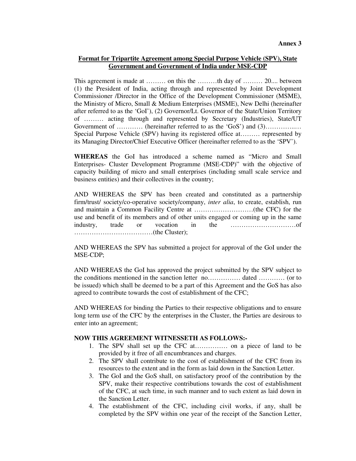#### **Format for Tripartite Agreement among Special Purpose Vehicle (SPV), State Government and Government of India under MSE-CDP**

This agreement is made at ……… on this the ………th day of ……… 20.... between (1) the President of India, acting through and represented by Joint Development Commissioner /Director in the Office of the Development Commissioner (MSME), the Ministry of Micro, Small & Medium Enterprises (MSME), New Delhi (hereinafter after referred to as the 'GoI'), (2) Governor/Lt. Governor of the State/Union Territory of ……… acting through and represented by Secretary (Industries), State/UT Government of ………… (hereinafter referred to as the 'GoS') and (3)……………. Special Purpose Vehicle (SPV) having its registered office at……… represented by its Managing Director/Chief Executive Officer (hereinafter referred to as the 'SPV').

**WHEREAS** the GoI has introduced a scheme named as "Micro and Small Enterprises- Cluster Development Programme (MSE-CDP)" with the objective of capacity building of micro and small enterprises (including small scale service and business entities) and their collectives in the country;

AND WHEREAS the SPV has been created and constituted as a partnership firm/trust/ society/co-operative society/company, *inter alia*, to create, establish, run and maintain a Common Facility Centre at ………………………(the CFC) for the use and benefit of its members and of other units engaged or coming up in the same industry, trade or vocation in the …………………………of ………………………………(the Cluster);

AND WHEREAS the SPV has submitted a project for approval of the GoI under the MSE-CDP;

AND WHEREAS the GoI has approved the project submitted by the SPV subject to the conditions mentioned in the sanction letter no…………… dated ………… (or to be issued) which shall be deemed to be a part of this Agreement and the GoS has also agreed to contribute towards the cost of establishment of the CFC;

AND WHEREAS for binding the Parties to their respective obligations and to ensure long term use of the CFC by the enterprises in the Cluster, the Parties are desirous to enter into an agreement;

#### **NOW THIS AGREEMENT WITNESSETH AS FOLLOWS:-**

- 1. The SPV shall set up the CFC at…………… on a piece of land to be provided by it free of all encumbrances and charges.
- 2. The SPV shall contribute to the cost of establishment of the CFC from its resources to the extent and in the form as laid down in the Sanction Letter.
- 3. The GoI and the GoS shall, on satisfactory proof of the contribution by the SPV, make their respective contributions towards the cost of establishment of the CFC, at such time, in such manner and to such extent as laid down in the Sanction Letter.
- 4. The establishment of the CFC, including civil works, if any, shall be completed by the SPV within one year of the receipt of the Sanction Letter,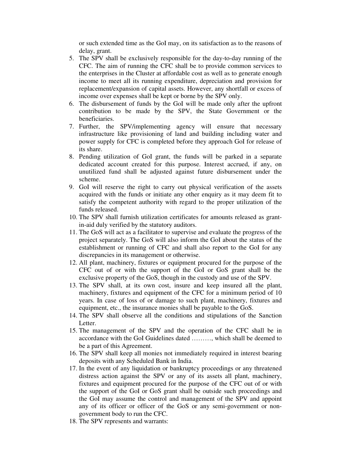or such extended time as the GoI may, on its satisfaction as to the reasons of delay, grant.

- 5. The SPV shall be exclusively responsible for the day-to-day running of the CFC. The aim of running the CFC shall be to provide common services to the enterprises in the Cluster at affordable cost as well as to generate enough income to meet all its running expenditure, depreciation and provision for replacement/expansion of capital assets. However, any shortfall or excess of income over expenses shall be kept or borne by the SPV only.
- 6. The disbursement of funds by the GoI will be made only after the upfront contribution to be made by the SPV, the State Government or the beneficiaries.
- 7. Further, the SPV/implementing agency will ensure that necessary infrastructure like provisioning of land and building including water and power supply for CFC is completed before they approach GoI for release of its share.
- 8. Pending utilization of GoI grant, the funds will be parked in a separate dedicated account created for this purpose. Interest accrued, if any, on unutilized fund shall be adjusted against future disbursement under the scheme.
- 9. GoI will reserve the right to carry out physical verification of the assets acquired with the funds or initiate any other enquiry as it may deem fit to satisfy the competent authority with regard to the proper utilization of the funds released.
- 10. The SPV shall furnish utilization certificates for amounts released as grantin-aid duly verified by the statutory auditors.
- 11. The GoS will act as a facilitator to supervise and evaluate the progress of the project separately. The GoS will also inform the GoI about the status of the establishment or running of CFC and shall also report to the GoI for any discrepancies in its management or otherwise.
- 12. All plant, machinery, fixtures or equipment procured for the purpose of the CFC out of or with the support of the GoI or GoS grant shall be the exclusive property of the GoS, though in the custody and use of the SPV.
- 13. The SPV shall, at its own cost, insure and keep insured all the plant, machinery, fixtures and equipment of the CFC for a minimum period of 10 years. In case of loss of or damage to such plant, machinery, fixtures and equipment, etc., the insurance monies shall be payable to the GoS.
- 14. The SPV shall observe all the conditions and stipulations of the Sanction Letter.
- 15. The management of the SPV and the operation of the CFC shall be in accordance with the GoI Guidelines dated ………, which shall be deemed to be a part of this Agreement.
- 16. The SPV shall keep all monies not immediately required in interest bearing deposits with any Scheduled Bank in India.
- 17. In the event of any liquidation or bankruptcy proceedings or any threatened distress action against the SPV or any of its assets all plant, machinery, fixtures and equipment procured for the purpose of the CFC out of or with the support of the GoI or GoS grant shall be outside such proceedings and the GoI may assume the control and management of the SPV and appoint any of its officer or officer of the GoS or any semi-government or nongovernment body to run the CFC.
- 18. The SPV represents and warrants: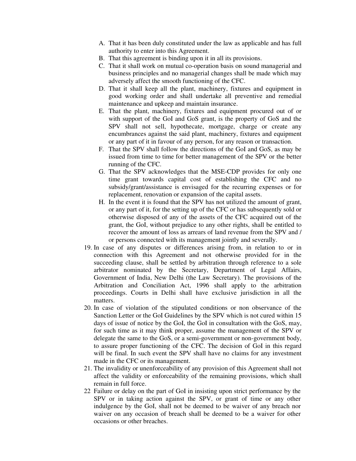- A. That it has been duly constituted under the law as applicable and has full authority to enter into this Agreement.
- B. That this agreement is binding upon it in all its provisions.
- C. That it shall work on mutual co-operation basis on sound managerial and business principles and no managerial changes shall be made which may adversely affect the smooth functioning of the CFC.
- D. That it shall keep all the plant, machinery, fixtures and equipment in good working order and shall undertake all preventive and remedial maintenance and upkeep and maintain insurance.
- E. That the plant, machinery, fixtures and equipment procured out of or with support of the GoI and GoS grant, is the property of GoS and the SPV shall not sell, hypothecate, mortgage, charge or create any encumbrances against the said plant, machinery, fixtures and equipment or any part of it in favour of any person, for any reason or transaction.
- F. That the SPV shall follow the directions of the GoI and GoS, as may be issued from time to time for better management of the SPV or the better running of the CFC.
- G. That the SPV acknowledges that the MSE-CDP provides for only one time grant towards capital cost of establishing the CFC and no subsidy/grant/assistance is envisaged for the recurring expenses or for replacement, renovation or expansion of the capital assets.
- H. In the event it is found that the SPV has not utilized the amount of grant, or any part of it, for the setting up of the CFC or has subsequently sold or otherwise disposed of any of the assets of the CFC acquired out of the grant, the GoI, without prejudice to any other rights, shall be entitled to recover the amount of loss as arrears of land revenue from the SPV and / or persons connected with its management jointly and severally.
- 19. In case of any disputes or differences arising from, in relation to or in connection with this Agreement and not otherwise provided for in the succeeding clause, shall be settled by arbitration through reference to a sole arbitrator nominated by the Secretary, Department of Legal Affairs, Government of India, New Delhi (the Law Secretary). The provisions of the Arbitration and Conciliation Act, 1996 shall apply to the arbitration proceedings. Courts in Delhi shall have exclusive jurisdiction in all the matters.
- 20. In case of violation of the stipulated conditions or non observance of the Sanction Letter or the GoI Guidelines by the SPV which is not cured within 15 days of issue of notice by the GoI, the GoI in consultation with the GoS, may, for such time as it may think proper, assume the management of the SPV or delegate the same to the GoS, or a semi-government or non-government body, to assure proper functioning of the CFC. The decision of GoI in this regard will be final. In such event the SPV shall have no claims for any investment made in the CFC or its management.
- 21. The invalidity or unenforceability of any provision of this Agreement shall not affect the validity or enforceability of the remaining provisions, which shall remain in full force.
- 22 Failure or delay on the part of GoI in insisting upon strict performance by the SPV or in taking action against the SPV, or grant of time or any other indulgence by the GoI, shall not be deemed to be waiver of any breach nor waiver on any occasion of breach shall be deemed to be a waiver for other occasions or other breaches.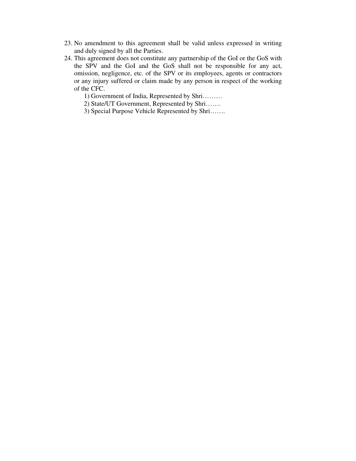- 23. No amendment to this agreement shall be valid unless expressed in writing and duly signed by all the Parties.
- 24. This agreement does not constitute any partnership of the GoI or the GoS with the SPV and the GoI and the GoS shall not be responsible for any act, omission, negligence, etc. of the SPV or its employees, agents or contractors or any injury suffered or claim made by any person in respect of the working of the CFC.

1) Government of India, Represented by Shri………

2) State/UT Government, Represented by Shri…….

3) Special Purpose Vehicle Represented by Shri…….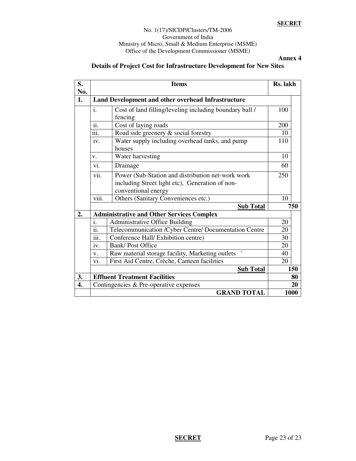#### **SECRET**

#### No. 1(17)/SICDP/Clusters/TM-2006 Government of India Ministry of Micro, Small & Medium Enterprise (MSME) Office of the Development Commissioner (MSME)

**Annex 4** 

# **Details of Project Cost for Infrastructure Development for New Sites**

| S.<br>No. | <b>Items</b>                                       |                                                                        | Rs. lakh |     |
|-----------|----------------------------------------------------|------------------------------------------------------------------------|----------|-----|
| 1.        | Land Development and other overhead Infrastructure |                                                                        |          |     |
|           | i.                                                 | Cost of land filling/leveling including boundary ball /<br>fencing     | 100      |     |
|           | $\ddotsc$<br>11.                                   | Cost of laying roads                                                   | 200      |     |
|           | iii.                                               | Road side greenery & social forestry                                   | 10       |     |
|           | iv.                                                | Water supply including overhead tanks, and pump<br>houses              | 110      |     |
|           | V.                                                 | Water harvesting                                                       | 10       |     |
|           | vi.                                                | Drainage                                                               | 60       |     |
|           | vii.                                               | Power (Sub-Station and distribution net-work work                      | 250      |     |
|           |                                                    | including Street light etc), Generation of non-<br>conventional energy |          |     |
|           | viii.                                              | Others (Sanitary Conveniences etc.)                                    | 10       |     |
|           |                                                    | <b>Sub Total</b>                                                       |          | 750 |
| 2.        | <b>Administrative and Other Services Complex</b>   |                                                                        |          |     |
|           | i.                                                 | Administrative Office Building                                         | 20       |     |
|           | $\overline{\cdots}$<br>11.                         | Telecommunication /Cyber Centre/ Documentation Centre                  | 20       |     |
|           | 111.                                               | Conference Hall/ Exhibition centre)                                    | 30       |     |
|           | iv.                                                | <b>Bank/Post Office</b>                                                | 20       |     |
|           | V.                                                 | Raw material storage facility, Marketing outlets                       | 40       |     |
|           | vi.                                                | First Aid Centre, Crèche, Canteen facilities                           | 20       |     |
|           |                                                    | <b>Sub Total</b>                                                       |          | 150 |
| 3.        | <b>Effluent Treatment Facilities</b>               |                                                                        |          | 80  |
| 4.        | Contingencies & Pre-operative expenses             |                                                                        | 20       |     |
|           | <b>GRAND TOTAL</b>                                 |                                                                        | 1000     |     |